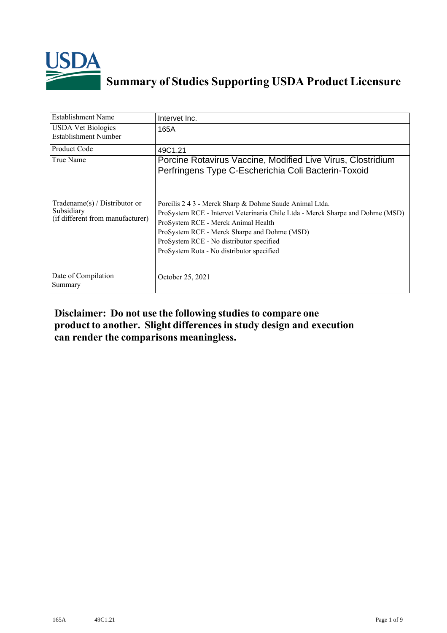

## **Summary of Studies Supporting USDA Product Licensure**

| <b>Establishment Name</b>                                                         | Intervet Inc.                                                                                                                                                                                                                                                                                                             |
|-----------------------------------------------------------------------------------|---------------------------------------------------------------------------------------------------------------------------------------------------------------------------------------------------------------------------------------------------------------------------------------------------------------------------|
| <b>USDA Vet Biologics</b><br>Establishment Number                                 | 165A                                                                                                                                                                                                                                                                                                                      |
| <b>Product Code</b>                                                               | 49C1.21                                                                                                                                                                                                                                                                                                                   |
| True Name                                                                         | Porcine Rotavirus Vaccine, Modified Live Virus, Clostridium<br>Perfringens Type C-Escherichia Coli Bacterin-Toxoid                                                                                                                                                                                                        |
| $Tradename(s) / Distributor$ or<br>Subsidiary<br>(if different from manufacturer) | Porcilis 2 4 3 - Merck Sharp & Dohme Saude Animal Ltda.<br>ProSystem RCE - Intervet Veterinaria Chile Ltda - Merck Sharpe and Dohme (MSD)<br>ProSystem RCE - Merck Animal Health<br>ProSystem RCE - Merck Sharpe and Dohme (MSD)<br>ProSystem RCE - No distributor specified<br>ProSystem Rota - No distributor specified |
| Date of Compilation<br>Summary                                                    | October 25, 2021                                                                                                                                                                                                                                                                                                          |

## **Disclaimer: Do not use the following studiesto compare one product to another. Slight differencesin study design and execution can render the comparisons meaningless.**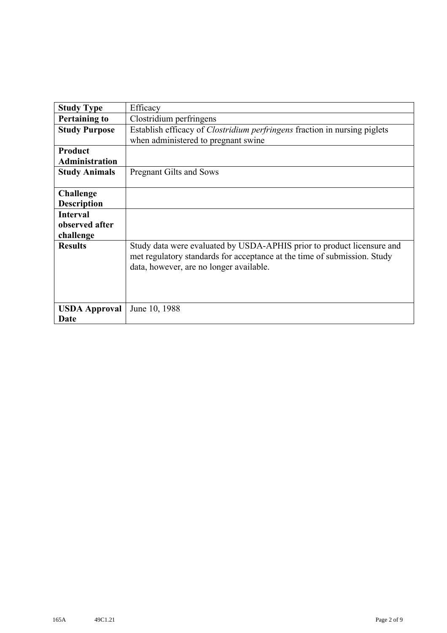| <b>Study Type</b>     | Efficacy                                                                                                                                                                                      |
|-----------------------|-----------------------------------------------------------------------------------------------------------------------------------------------------------------------------------------------|
| <b>Pertaining to</b>  | Clostridium perfringens                                                                                                                                                                       |
| <b>Study Purpose</b>  | Establish efficacy of Clostridium perfringens fraction in nursing piglets                                                                                                                     |
|                       | when administered to pregnant swine                                                                                                                                                           |
| <b>Product</b>        |                                                                                                                                                                                               |
| <b>Administration</b> |                                                                                                                                                                                               |
| <b>Study Animals</b>  | <b>Pregnant Gilts and Sows</b>                                                                                                                                                                |
|                       |                                                                                                                                                                                               |
| <b>Challenge</b>      |                                                                                                                                                                                               |
| <b>Description</b>    |                                                                                                                                                                                               |
| <b>Interval</b>       |                                                                                                                                                                                               |
| observed after        |                                                                                                                                                                                               |
| challenge             |                                                                                                                                                                                               |
| <b>Results</b>        | Study data were evaluated by USDA-APHIS prior to product licensure and<br>met regulatory standards for acceptance at the time of submission. Study<br>data, however, are no longer available. |
| <b>USDA Approval</b>  | June 10, 1988                                                                                                                                                                                 |
| Date                  |                                                                                                                                                                                               |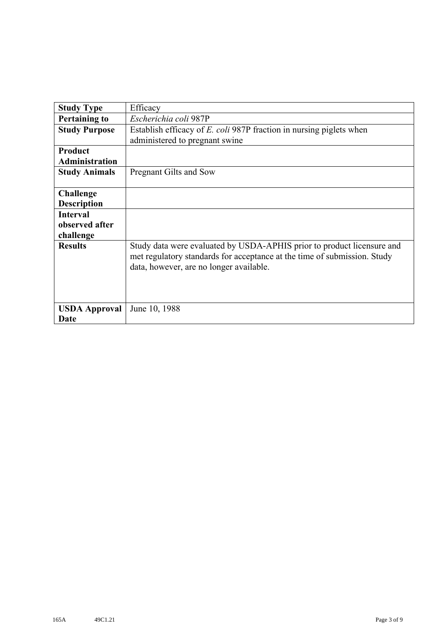| <b>Study Type</b>     | Efficacy                                                                                                                                                                                      |
|-----------------------|-----------------------------------------------------------------------------------------------------------------------------------------------------------------------------------------------|
| <b>Pertaining to</b>  | Escherichia coli 987P                                                                                                                                                                         |
| <b>Study Purpose</b>  | Establish efficacy of <i>E. coli</i> 987P fraction in nursing piglets when                                                                                                                    |
|                       | administered to pregnant swine                                                                                                                                                                |
| Product               |                                                                                                                                                                                               |
| <b>Administration</b> |                                                                                                                                                                                               |
| <b>Study Animals</b>  | Pregnant Gilts and Sow                                                                                                                                                                        |
|                       |                                                                                                                                                                                               |
| <b>Challenge</b>      |                                                                                                                                                                                               |
| <b>Description</b>    |                                                                                                                                                                                               |
| <b>Interval</b>       |                                                                                                                                                                                               |
| observed after        |                                                                                                                                                                                               |
| challenge             |                                                                                                                                                                                               |
| <b>Results</b>        | Study data were evaluated by USDA-APHIS prior to product licensure and<br>met regulatory standards for acceptance at the time of submission. Study<br>data, however, are no longer available. |
| <b>USDA Approval</b>  | June 10, 1988                                                                                                                                                                                 |
| Date                  |                                                                                                                                                                                               |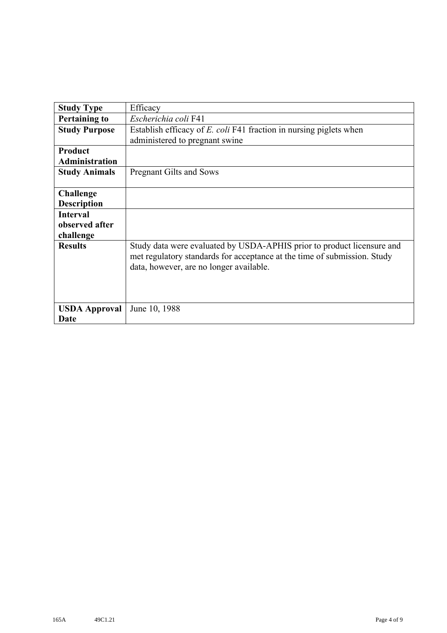| <b>Study Type</b>     | Efficacy                                                                                                                                                                                      |
|-----------------------|-----------------------------------------------------------------------------------------------------------------------------------------------------------------------------------------------|
| <b>Pertaining to</b>  | Escherichia coli F41                                                                                                                                                                          |
| <b>Study Purpose</b>  | Establish efficacy of E. coli F41 fraction in nursing piglets when                                                                                                                            |
|                       | administered to pregnant swine                                                                                                                                                                |
| Product               |                                                                                                                                                                                               |
| <b>Administration</b> |                                                                                                                                                                                               |
| <b>Study Animals</b>  | <b>Pregnant Gilts and Sows</b>                                                                                                                                                                |
|                       |                                                                                                                                                                                               |
| <b>Challenge</b>      |                                                                                                                                                                                               |
| <b>Description</b>    |                                                                                                                                                                                               |
| <b>Interval</b>       |                                                                                                                                                                                               |
| observed after        |                                                                                                                                                                                               |
| challenge             |                                                                                                                                                                                               |
| <b>Results</b>        | Study data were evaluated by USDA-APHIS prior to product licensure and<br>met regulatory standards for acceptance at the time of submission. Study<br>data, however, are no longer available. |
| <b>USDA Approval</b>  | June 10, 1988                                                                                                                                                                                 |
| Date                  |                                                                                                                                                                                               |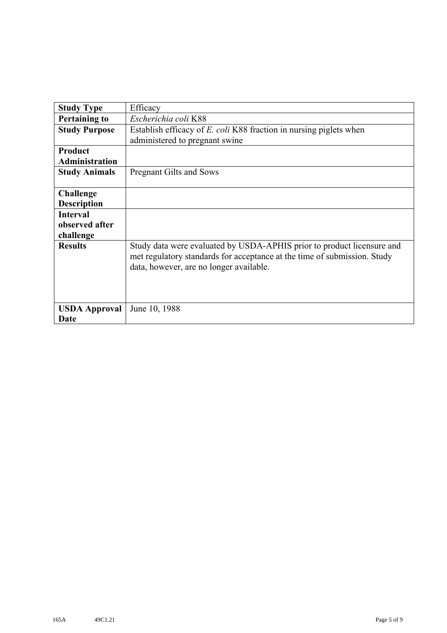| <b>Study Type</b>     | Efficacy                                                                                                                                                                                      |
|-----------------------|-----------------------------------------------------------------------------------------------------------------------------------------------------------------------------------------------|
| <b>Pertaining to</b>  | Escherichia coli K88                                                                                                                                                                          |
| <b>Study Purpose</b>  | Establish efficacy of E. coli K88 fraction in nursing piglets when                                                                                                                            |
|                       | administered to pregnant swine                                                                                                                                                                |
| Product               |                                                                                                                                                                                               |
| <b>Administration</b> |                                                                                                                                                                                               |
| <b>Study Animals</b>  | <b>Pregnant Gilts and Sows</b>                                                                                                                                                                |
|                       |                                                                                                                                                                                               |
| <b>Challenge</b>      |                                                                                                                                                                                               |
| <b>Description</b>    |                                                                                                                                                                                               |
| <b>Interval</b>       |                                                                                                                                                                                               |
| observed after        |                                                                                                                                                                                               |
| challenge             |                                                                                                                                                                                               |
| <b>Results</b>        | Study data were evaluated by USDA-APHIS prior to product licensure and<br>met regulatory standards for acceptance at the time of submission. Study<br>data, however, are no longer available. |
| <b>USDA Approval</b>  | June 10, 1988                                                                                                                                                                                 |
| Date                  |                                                                                                                                                                                               |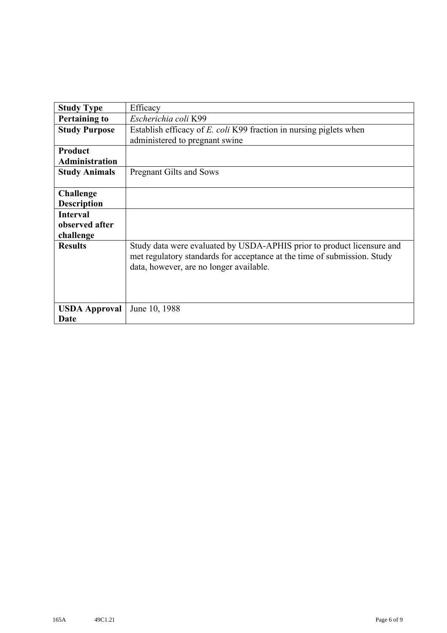| <b>Study Type</b>     | Efficacy                                                                                                                                                                                      |
|-----------------------|-----------------------------------------------------------------------------------------------------------------------------------------------------------------------------------------------|
| <b>Pertaining to</b>  | Escherichia coli K99                                                                                                                                                                          |
| <b>Study Purpose</b>  | Establish efficacy of E. coli K99 fraction in nursing piglets when                                                                                                                            |
|                       | administered to pregnant swine                                                                                                                                                                |
| Product               |                                                                                                                                                                                               |
| <b>Administration</b> |                                                                                                                                                                                               |
| <b>Study Animals</b>  | <b>Pregnant Gilts and Sows</b>                                                                                                                                                                |
|                       |                                                                                                                                                                                               |
| <b>Challenge</b>      |                                                                                                                                                                                               |
| <b>Description</b>    |                                                                                                                                                                                               |
| <b>Interval</b>       |                                                                                                                                                                                               |
| observed after        |                                                                                                                                                                                               |
| challenge             |                                                                                                                                                                                               |
| <b>Results</b>        | Study data were evaluated by USDA-APHIS prior to product licensure and<br>met regulatory standards for acceptance at the time of submission. Study<br>data, however, are no longer available. |
| <b>USDA Approval</b>  | June 10, 1988                                                                                                                                                                                 |
| Date                  |                                                                                                                                                                                               |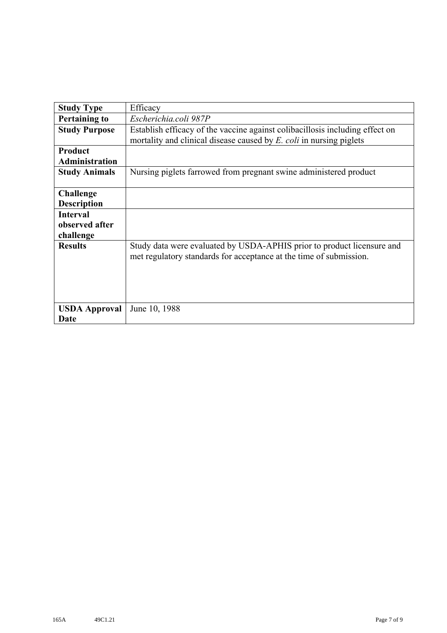| <b>Study Type</b>     | Efficacy                                                                                                                                     |
|-----------------------|----------------------------------------------------------------------------------------------------------------------------------------------|
| <b>Pertaining to</b>  | Escherichia.coli 987P                                                                                                                        |
| <b>Study Purpose</b>  | Establish efficacy of the vaccine against colibacillosis including effect on                                                                 |
|                       | mortality and clinical disease caused by E. coli in nursing piglets                                                                          |
| Product               |                                                                                                                                              |
| <b>Administration</b> |                                                                                                                                              |
| <b>Study Animals</b>  | Nursing piglets farrowed from pregnant swine administered product                                                                            |
| <b>Challenge</b>      |                                                                                                                                              |
| <b>Description</b>    |                                                                                                                                              |
| <b>Interval</b>       |                                                                                                                                              |
| observed after        |                                                                                                                                              |
| challenge             |                                                                                                                                              |
| <b>Results</b>        | Study data were evaluated by USDA-APHIS prior to product licensure and<br>met regulatory standards for acceptance at the time of submission. |
| <b>USDA Approval</b>  | June 10, 1988                                                                                                                                |
| Date                  |                                                                                                                                              |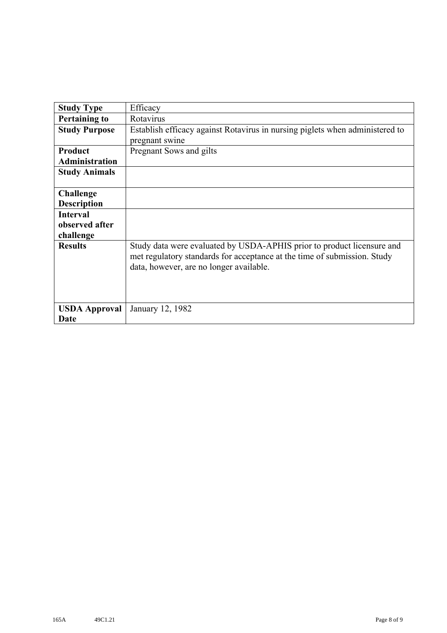| <b>Study Type</b>     | Efficacy                                                                                                                                                                                      |
|-----------------------|-----------------------------------------------------------------------------------------------------------------------------------------------------------------------------------------------|
| <b>Pertaining to</b>  | Rotavirus                                                                                                                                                                                     |
| <b>Study Purpose</b>  | Establish efficacy against Rotavirus in nursing piglets when administered to                                                                                                                  |
|                       | pregnant swine                                                                                                                                                                                |
| <b>Product</b>        | Pregnant Sows and gilts                                                                                                                                                                       |
| <b>Administration</b> |                                                                                                                                                                                               |
| <b>Study Animals</b>  |                                                                                                                                                                                               |
|                       |                                                                                                                                                                                               |
| <b>Challenge</b>      |                                                                                                                                                                                               |
| <b>Description</b>    |                                                                                                                                                                                               |
| <b>Interval</b>       |                                                                                                                                                                                               |
| observed after        |                                                                                                                                                                                               |
| challenge             |                                                                                                                                                                                               |
| <b>Results</b>        | Study data were evaluated by USDA-APHIS prior to product licensure and<br>met regulatory standards for acceptance at the time of submission. Study<br>data, however, are no longer available. |
| <b>USDA Approval</b>  | January 12, 1982                                                                                                                                                                              |
| Date                  |                                                                                                                                                                                               |